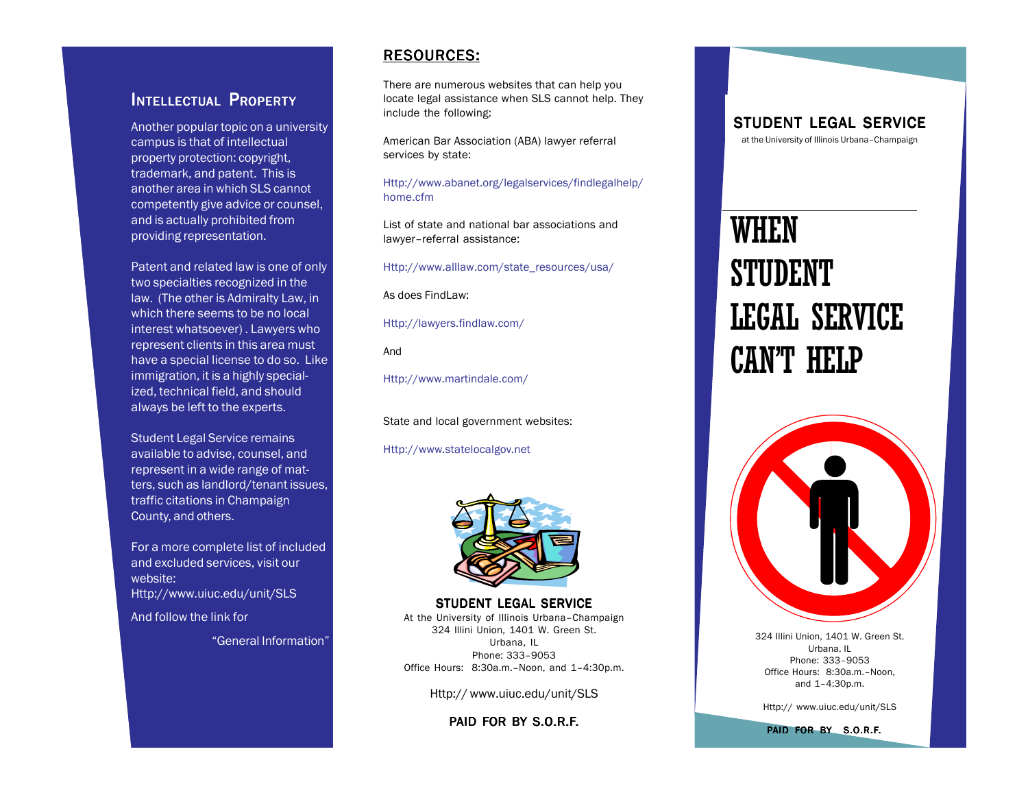### INTELLECTUAL PROPERTY

Another popular topic on a university campus is that of intellectual property protection: copyright, trademark, and patent. This is another area in which SLS cannot competently give advice or counsel, and is actually prohibited from providing representation.

Patent and related law is one of only two specialties recognized in the law. (The other is Admiralty Law, in which there seems to be no local interest whatsoever) . Lawyers who represent clients in this area must have a special license to do so. Like immigration, it is a highly specialized, technical field, and should always be left to the experts.

Student Legal Service remains available to advise, counsel, and represent in a wide range of matters, such as landlord/tenant issues, traffic citations in Champaign County, and others.

For a more complete list of included and excluded services, visit our website: Http://www.uiuc.edu/unit/SLS

And follow the link for

"General Information"

#### RESOURCES: RESOURCES:

There are numerous websites that can help you locate legal assistance when SLS cannot help. They include the following:

American Bar Association (ABA) lawyer referral services by state:

Http://www.abanet.org/legalservices/findlegalhelp/ home.cfm

List of state and national bar associations and lawyer–referral assistance:

Http://www.alllaw.com/state\_resources/usa/

As does FindLaw:

Http://lawyers.findlaw.com/

And

Http://www.martindale.com/

State and local government websites:

Http://www.statelocalgov.net



STUDENT LEGAL SERVICE At the University of Illinois Urbana–Champaign 324 Illini Union, 1401 W. Green St. Urbana, IL Phone: 333–9053 Office Hours: 8:30a.m.–Noon, and 1–4:30p.m.

Http:// www.uiuc.edu/unit/SLS

PAID FOR BY S.O.R.F.

STUDENT LEGAL SERVICE

at the University of Illinois Urbana–Champaign

# WHEN STUDENT LEGAL SERVICE CAN'T HELP



324 Illini Union, 1401 W. Green St. Urbana, IL Phone: 333–9053 Office Hours: 8:30a.m.–Noon, and 1–4:30p.m.

Http:// www.uiuc.edu/unit/SLS

PAID FOR BY S.O.R.F.